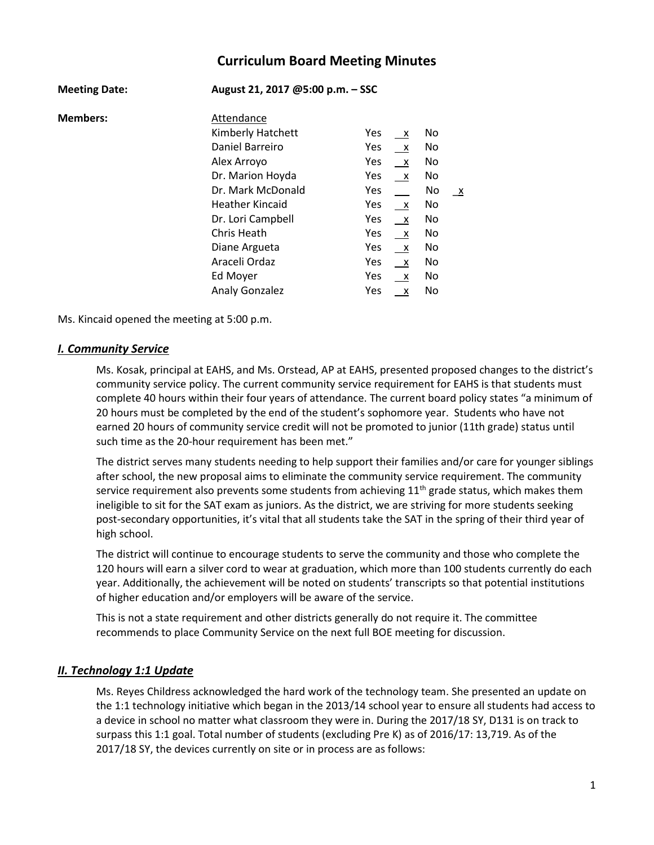# **Curriculum Board Meeting Minutes**

| <b>Meeting Date:</b> | August 21, 2017 @5:00 p.m. - SSC |                                   |  |  |
|----------------------|----------------------------------|-----------------------------------|--|--|
| <b>Members:</b>      | Attendance                       |                                   |  |  |
|                      | Kimberly Hatchett                | Yes<br>No<br>$\mathsf{X}$         |  |  |
|                      | Daniel Barreiro                  | Yes<br>No.<br>$\mathsf{X}$        |  |  |
|                      | Alex Arroyo                      | Yes<br>No.<br>$\mathsf{X}$        |  |  |
|                      | Dr. Marion Hoyda                 | <b>Yes</b><br>No.<br>$\mathsf{X}$ |  |  |
|                      | Dr. Mark McDonald                | Yes<br>No<br>$\mathsf{X}$         |  |  |
|                      | <b>Heather Kincaid</b>           | Yes<br>No.<br>$\mathsf{X}$        |  |  |
|                      | Dr. Lori Campbell                | Yes<br>No<br>$\mathsf{X}$         |  |  |
|                      | Chris Heath                      | No.<br>Yes<br>$\mathsf{X}$        |  |  |
|                      | Diane Argueta                    | Yes<br>No.<br>$\mathsf{X}$        |  |  |
|                      | Araceli Ordaz                    | Yes<br>No.<br>$\mathsf{X}$        |  |  |
|                      | Ed Moyer                         | Yes<br>No.<br>$\mathsf{x}$        |  |  |
|                      | <b>Analy Gonzalez</b>            | Yes<br>No<br>$\mathsf{X}$         |  |  |

Ms. Kincaid opened the meeting at 5:00 p.m.

#### *I. Community Service*

Ms. Kosak, principal at EAHS, and Ms. Orstead, AP at EAHS, presented proposed changes to the district's community service policy. The current community service requirement for EAHS is that students must complete 40 hours within their four years of attendance. The current board policy states "a minimum of 20 hours must be completed by the end of the student's sophomore year. Students who have not earned 20 hours of community service credit will not be promoted to junior (11th grade) status until such time as the 20-hour requirement has been met."

The district serves many students needing to help support their families and/or care for younger siblings after school, the new proposal aims to eliminate the community service requirement. The community service requirement also prevents some students from achieving  $11<sup>th</sup>$  grade status, which makes them ineligible to sit for the SAT exam as juniors. As the district, we are striving for more students seeking post-secondary opportunities, it's vital that all students take the SAT in the spring of their third year of high school.

The district will continue to encourage students to serve the community and those who complete the 120 hours will earn a silver cord to wear at graduation, which more than 100 students currently do each year. Additionally, the achievement will be noted on students' transcripts so that potential institutions of higher education and/or employers will be aware of the service.

This is not a state requirement and other districts generally do not require it. The committee recommends to place Community Service on the next full BOE meeting for discussion.

### *II. Technology 1:1 Update*

Ms. Reyes Childress acknowledged the hard work of the technology team. She presented an update on the 1:1 technology initiative which began in the 2013/14 school year to ensure all students had access to a device in school no matter what classroom they were in. During the 2017/18 SY, D131 is on track to surpass this 1:1 goal. Total number of students (excluding Pre K) as of 2016/17: 13,719. As of the 2017/18 SY, the devices currently on site or in process are as follows: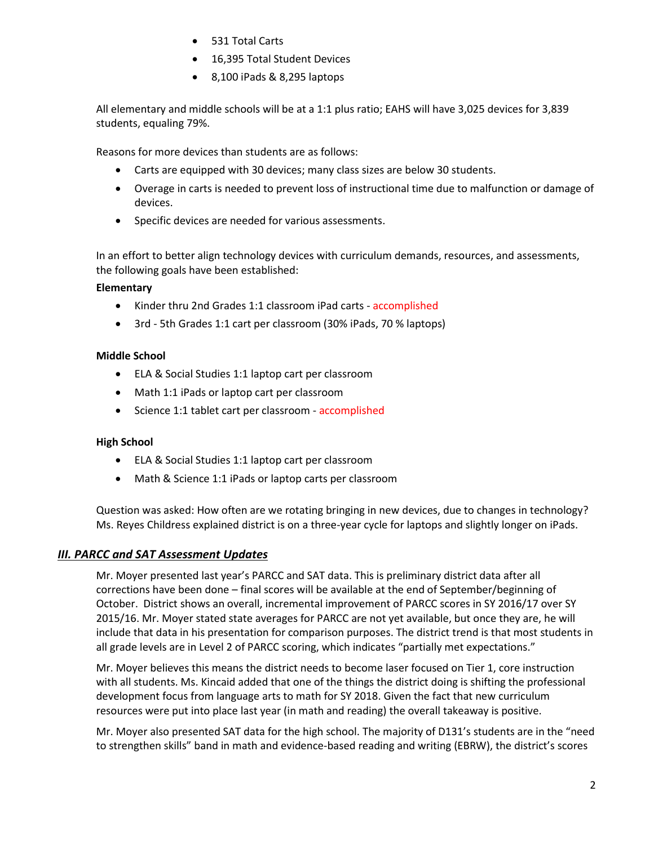- 531 Total Carts
- 16,395 Total Student Devices
- 8,100 iPads & 8,295 laptops

All elementary and middle schools will be at a 1:1 plus ratio; EAHS will have 3,025 devices for 3,839 students, equaling 79%.

Reasons for more devices than students are as follows:

- Carts are equipped with 30 devices; many class sizes are below 30 students.
- Overage in carts is needed to prevent loss of instructional time due to malfunction or damage of devices.
- **•** Specific devices are needed for various assessments.

In an effort to better align technology devices with curriculum demands, resources, and assessments, the following goals have been established:

### **Elementary**

- Kinder thru 2nd Grades 1:1 classroom iPad carts accomplished
- 3rd 5th Grades 1:1 cart per classroom (30% iPads, 70 % laptops)

### **Middle School**

- ELA & Social Studies 1:1 laptop cart per classroom
- Math 1:1 iPads or laptop cart per classroom
- Science 1:1 tablet cart per classroom accomplished

### **High School**

- ELA & Social Studies 1:1 laptop cart per classroom
- Math & Science 1:1 iPads or laptop carts per classroom

Question was asked: How often are we rotating bringing in new devices, due to changes in technology? Ms. Reyes Childress explained district is on a three-year cycle for laptops and slightly longer on iPads.

## *III. PARCC and SAT Assessment Updates*

Mr. Moyer presented last year's PARCC and SAT data. This is preliminary district data after all corrections have been done – final scores will be available at the end of September/beginning of October. District shows an overall, incremental improvement of PARCC scores in SY 2016/17 over SY 2015/16. Mr. Moyer stated state averages for PARCC are not yet available, but once they are, he will include that data in his presentation for comparison purposes. The district trend is that most students in all grade levels are in Level 2 of PARCC scoring, which indicates "partially met expectations."

Mr. Moyer believes this means the district needs to become laser focused on Tier 1, core instruction with all students. Ms. Kincaid added that one of the things the district doing is shifting the professional development focus from language arts to math for SY 2018. Given the fact that new curriculum resources were put into place last year (in math and reading) the overall takeaway is positive.

Mr. Moyer also presented SAT data for the high school. The majority of D131's students are in the "need to strengthen skills" band in math and evidence-based reading and writing (EBRW), the district's scores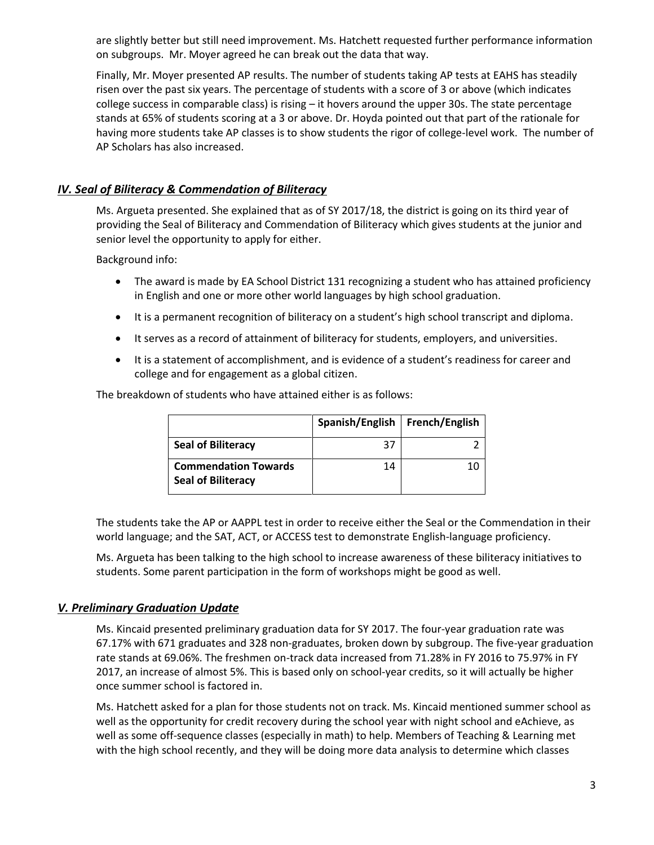are slightly better but still need improvement. Ms. Hatchett requested further performance information on subgroups. Mr. Moyer agreed he can break out the data that way.

Finally, Mr. Moyer presented AP results. The number of students taking AP tests at EAHS has steadily risen over the past six years. The percentage of students with a score of 3 or above (which indicates college success in comparable class) is rising – it hovers around the upper 30s. The state percentage stands at 65% of students scoring at a 3 or above. Dr. Hoyda pointed out that part of the rationale for having more students take AP classes is to show students the rigor of college-level work. The number of AP Scholars has also increased.

### *IV. Seal of Biliteracy & Commendation of Biliteracy*

Ms. Argueta presented. She explained that as of SY 2017/18, the district is going on its third year of providing the Seal of Biliteracy and Commendation of Biliteracy which gives students at the junior and senior level the opportunity to apply for either.

Background info:

- The award is made by EA School District 131 recognizing a student who has attained proficiency in English and one or more other world languages by high school graduation.
- It is a permanent recognition of biliteracy on a student's high school transcript and diploma.
- It serves as a record of attainment of biliteracy for students, employers, and universities.
- It is a statement of accomplishment, and is evidence of a student's readiness for career and college and for engagement as a global citizen.

The breakdown of students who have attained either is as follows:

|                                                          | Spanish/English   French/English |  |
|----------------------------------------------------------|----------------------------------|--|
| <b>Seal of Biliteracy</b>                                | 37                               |  |
| <b>Commendation Towards</b><br><b>Seal of Biliteracy</b> | 14                               |  |

The students take the AP or AAPPL test in order to receive either the Seal or the Commendation in their world language; and the SAT, ACT, or ACCESS test to demonstrate English-language proficiency.

Ms. Argueta has been talking to the high school to increase awareness of these biliteracy initiatives to students. Some parent participation in the form of workshops might be good as well.

#### *V. Preliminary Graduation Update*

Ms. Kincaid presented preliminary graduation data for SY 2017. The four-year graduation rate was 67.17% with 671 graduates and 328 non-graduates, broken down by subgroup. The five-year graduation rate stands at 69.06%. The freshmen on-track data increased from 71.28% in FY 2016 to 75.97% in FY 2017, an increase of almost 5%. This is based only on school-year credits, so it will actually be higher once summer school is factored in.

Ms. Hatchett asked for a plan for those students not on track. Ms. Kincaid mentioned summer school as well as the opportunity for credit recovery during the school year with night school and eAchieve, as well as some off-sequence classes (especially in math) to help. Members of Teaching & Learning met with the high school recently, and they will be doing more data analysis to determine which classes